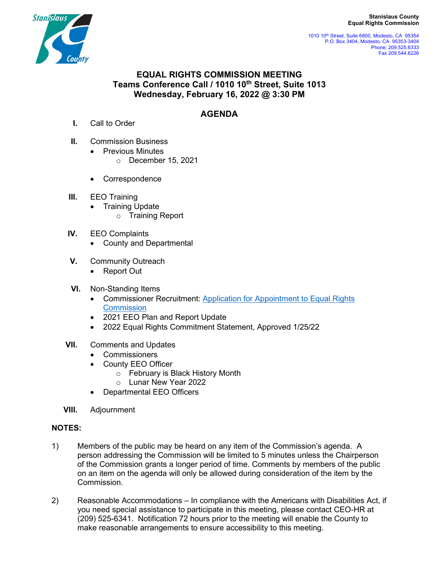**Stanislaus County Equal Rights Commission**



 1010 10th Street, Suite 6800, Modesto, CA 95354 P.O. Box 3404, Modesto, CA 95353-3404 Phone: 209.525.6333 Fax 209.544.6226

## **EQUAL RIGHTS COMMISSION MEETING Teams Conference Call / 1010 10th Street, Suite 1013 Wednesday, February 16, 2022 @ 3:30 PM**

## **AGENDA**

- **I.** Call to Order
- **II.** Commission Business
	- Previous Minutes
		- o December 15, 2021
	- Correspondence
- **III.** EEO Training
	- Training Update
		- o Training Report
- **IV.** EEO Complaints
	- County and Departmental
- **V.** Community Outreach
	- Report Out
- **VI.** Non-Standing Items
	- Commissioner Recruitment: [Application for Appointment to](http://www.stancounty.com/bos/b&c/on-line-application.pdf) Equal Rights **[Commission](http://www.stancounty.com/bos/b&c/on-line-application.pdf)**
	- 2021 EEO Plan and Report Update
	- 2022 Equal Rights Commitment Statement, Approved 1/25/22
- **VII.** Comments and Updates
	- **Commissioners**
	- County EEO Officer
		- o February is Black History Month
		- o Lunar New Year 2022
	- Departmental EEO Officers
- **VIII.** Adjournment

## **NOTES:**

- 1) Members of the public may be heard on any item of the Commission's agenda. A person addressing the Commission will be limited to 5 minutes unless the Chairperson of the Commission grants a longer period of time. Comments by members of the public on an item on the agenda will only be allowed during consideration of the item by the Commission.
- 2) Reasonable Accommodations In compliance with the Americans with Disabilities Act, if you need special assistance to participate in this meeting, please contact CEO-HR at (209) 525-6341. Notification 72 hours prior to the meeting will enable the County to make reasonable arrangements to ensure accessibility to this meeting.